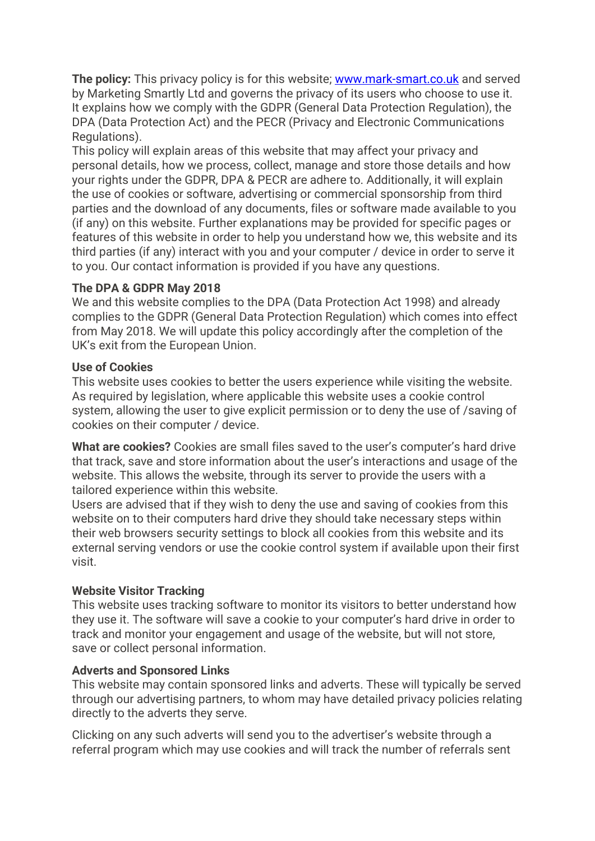**The policy:** This privacy policy is for this website; [www.mark-smart.co.uk](http://www.mark-smart.co.uk/) and served by Marketing Smartly Ltd and governs the privacy of its users who choose to use it. It explains how we comply with the GDPR (General Data Protection Regulation), the DPA (Data Protection Act) and the PECR (Privacy and Electronic Communications Regulations).

This policy will explain areas of this website that may affect your privacy and personal details, how we process, collect, manage and store those details and how your rights under the GDPR, DPA & PECR are adhere to. Additionally, it will explain the use of cookies or software, advertising or commercial sponsorship from third parties and the download of any documents, files or software made available to you (if any) on this website. Further explanations may be provided for specific pages or features of this website in order to help you understand how we, this website and its third parties (if any) interact with you and your computer / device in order to serve it to you. Our contact information is provided if you have any questions.

## **The DPA & GDPR May 2018**

We and this website complies to the DPA (Data Protection Act 1998) and already complies to the GDPR (General Data Protection Regulation) which comes into effect from May 2018. We will update this policy accordingly after the completion of the UK's exit from the European Union.

## **Use of Cookies**

This website uses cookies to better the users experience while visiting the website. As required by legislation, where applicable this website uses a cookie control system, allowing the user to give explicit permission or to deny the use of /saving of cookies on their computer / device.

**What are cookies?** Cookies are small files saved to the user's computer's hard drive that track, save and store information about the user's interactions and usage of the website. This allows the website, through its server to provide the users with a tailored experience within this website.

Users are advised that if they wish to deny the use and saving of cookies from this website on to their computers hard drive they should take necessary steps within their web browsers security settings to block all cookies from this website and its external serving vendors or use the cookie control system if available upon their first visit.

## **Website Visitor Tracking**

This website uses tracking software to monitor its visitors to better understand how they use it. The software will save a cookie to your computer's hard drive in order to track and monitor your engagement and usage of the website, but will not store, save or collect personal information.

## **Adverts and Sponsored Links**

This website may contain sponsored links and adverts. These will typically be served through our advertising partners, to whom may have detailed privacy policies relating directly to the adverts they serve.

Clicking on any such adverts will send you to the advertiser's website through a referral program which may use cookies and will track the number of referrals sent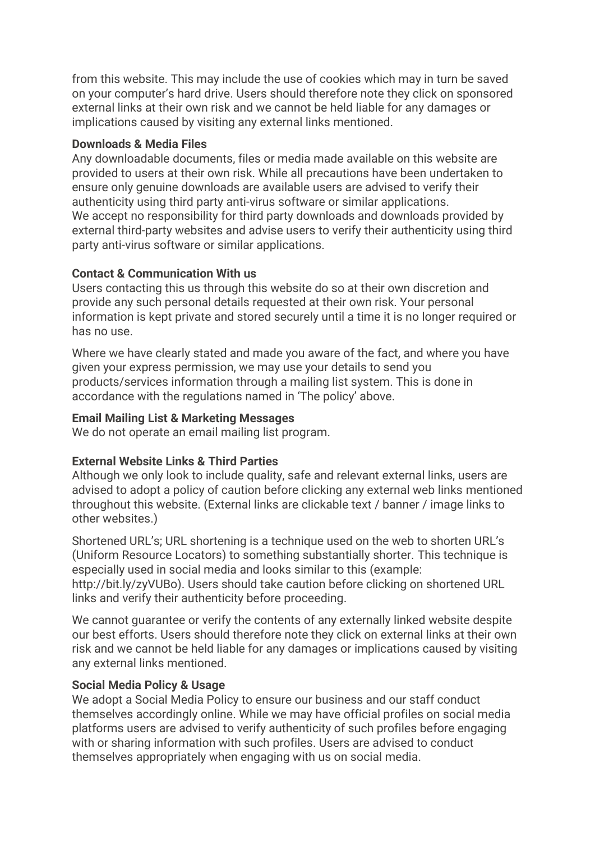from this website. This may include the use of cookies which may in turn be saved on your computer's hard drive. Users should therefore note they click on sponsored external links at their own risk and we cannot be held liable for any damages or implications caused by visiting any external links mentioned.

#### **Downloads & Media Files**

Any downloadable documents, files or media made available on this website are provided to users at their own risk. While all precautions have been undertaken to ensure only genuine downloads are available users are advised to verify their authenticity using third party anti-virus software or similar applications. We accept no responsibility for third party downloads and downloads provided by external third-party websites and advise users to verify their authenticity using third party anti-virus software or similar applications.

## **Contact & Communication With us**

Users contacting this us through this website do so at their own discretion and provide any such personal details requested at their own risk. Your personal information is kept private and stored securely until a time it is no longer required or has no use.

Where we have clearly stated and made you aware of the fact, and where you have given your express permission, we may use your details to send you products/services information through a mailing list system. This is done in accordance with the regulations named in 'The policy' above.

#### **Email Mailing List & Marketing Messages**

We do not operate an email mailing list program.

## **External Website Links & Third Parties**

Although we only look to include quality, safe and relevant external links, users are advised to adopt a policy of caution before clicking any external web links mentioned throughout this website. (External links are clickable text / banner / image links to other websites.)

Shortened URL's; URL shortening is a technique used on the web to shorten URL's (Uniform Resource Locators) to something substantially shorter. This technique is especially used in social media and looks similar to this (example: http://bit.ly/zyVUBo). Users should take caution before clicking on shortened URL links and verify their authenticity before proceeding.

We cannot guarantee or verify the contents of any externally linked website despite our best efforts. Users should therefore note they click on external links at their own risk and we cannot be held liable for any damages or implications caused by visiting any external links mentioned.

#### **Social Media Policy & Usage**

We adopt a Social Media Policy to ensure our business and our staff conduct themselves accordingly online. While we may have official profiles on social media platforms users are advised to verify authenticity of such profiles before engaging with or sharing information with such profiles. Users are advised to conduct themselves appropriately when engaging with us on social media.